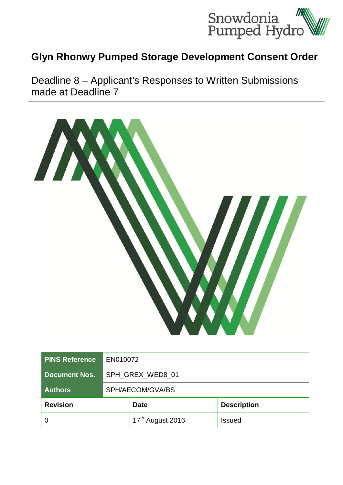

## **Glyn Rhonwy Pumped Storage Development Consent Order**

Deadline 8 – Applicant's Responses to Written Submissions made at Deadline 7



| <b>PINS Reference</b> | EN010072         |                              |                    |
|-----------------------|------------------|------------------------------|--------------------|
| <b>Document Nos.</b>  | SPH GREX WED8 01 |                              |                    |
| <b>Authors</b>        | SPH/AECOM/GVA/BS |                              |                    |
| <b>Revision</b>       |                  | <b>Date</b>                  | <b>Description</b> |
|                       |                  | 17 <sup>th</sup> August 2016 | Issued             |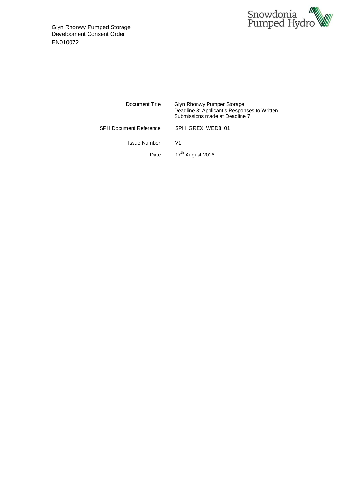

| Deadline 8: Applicant's Responses to Written |
|----------------------------------------------|
|                                              |
|                                              |
|                                              |
|                                              |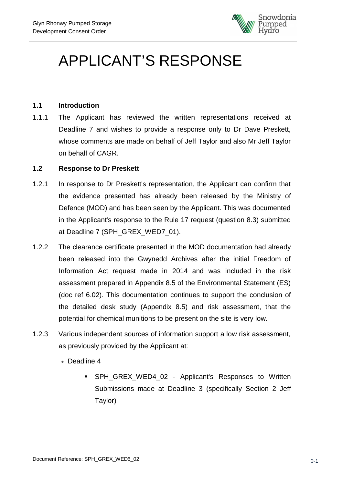

# APPLICANT'S RESPONSE

#### **1.1 Introduction**

1.1.1 The Applicant has reviewed the written representations received at Deadline 7 and wishes to provide a response only to Dr Dave Preskett, whose comments are made on behalf of Jeff Taylor and also Mr Jeff Taylor on behalf of CAGR.

#### **1.2 Response to Dr Preskett**

- 1.2.1 In response to Dr Preskett's representation, the Applicant can confirm that the evidence presented has already been released by the Ministry of Defence (MOD) and has been seen by the Applicant. This was documented in the Applicant's response to the Rule 17 request (question 8.3) submitted at Deadline 7 (SPH\_GREX\_WED7\_01).
- 1.2.2 The clearance certificate presented in the MOD documentation had already been released into the Gwynedd Archives after the initial Freedom of Information Act request made in 2014 and was included in the risk assessment prepared in Appendix 8.5 of the Environmental Statement (ES) (doc ref 6.02). This documentation continues to support the conclusion of the detailed desk study (Appendix 8.5) and risk assessment, that the potential for chemical munitions to be present on the site is very low.
- 1.2.3 Various independent sources of information support a low risk assessment, as previously provided by the Applicant at:
	- · Deadline 4
		- SPH\_GREX\_WED4\_02 Applicant's Responses to Written Submissions made at Deadline 3 (specifically Section 2 Jeff Taylor)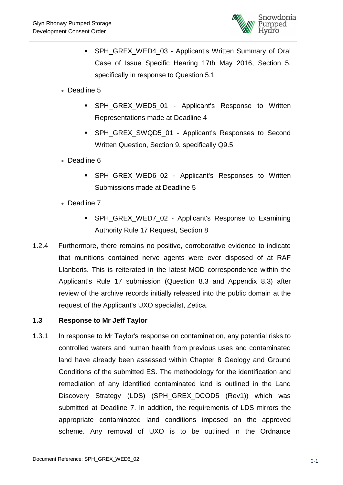

- SPH\_GREX\_WED4\_03 Applicant's Written Summary of Oral Case of Issue Specific Hearing 17th May 2016, Section 5, specifically in response to Question 5.1
- · Deadline 5
	- SPH\_GREX\_WED5\_01 Applicant's Response to Written Representations made at Deadline 4
	- SPH\_GREX\_SWQD5\_01 Applicant's Responses to Second Written Question, Section 9, specifically Q9.5
- · Deadline 6
	- SPH GREX WED6 02 Applicant's Responses to Written Submissions made at Deadline 5
- · Deadline 7
	- SPH GREX WED7 02 Applicant's Response to Examining Authority Rule 17 Request, Section 8
- 1.2.4 Furthermore, there remains no positive, corroborative evidence to indicate that munitions contained nerve agents were ever disposed of at RAF Llanberis. This is reiterated in the latest MOD correspondence within the Applicant's Rule 17 submission (Question 8.3 and Appendix 8.3) after review of the archive records initially released into the public domain at the request of the Applicant's UXO specialist, Zetica.

### **1.3 Response to Mr Jeff Taylor**

1.3.1 In response to Mr Taylor's response on contamination, any potential risks to controlled waters and human health from previous uses and contaminated land have already been assessed within Chapter 8 Geology and Ground Conditions of the submitted ES. The methodology for the identification and remediation of any identified contaminated land is outlined in the Land Discovery Strategy (LDS) (SPH GREX DCOD5 (Rev1)) which was submitted at Deadline 7. In addition, the requirements of LDS mirrors the appropriate contaminated land conditions imposed on the approved scheme. Any removal of UXO is to be outlined in the Ordnance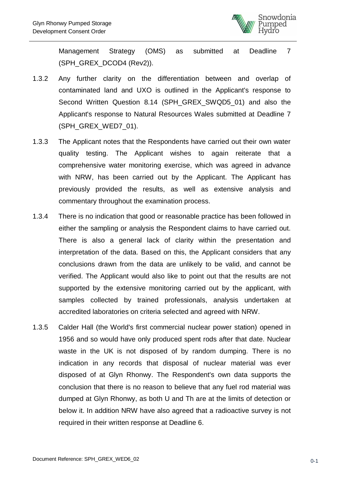

Management Strategy (OMS) as submitted at Deadline 7 (SPH\_GREX\_DCOD4 (Rev2)).

- 1.3.2 Any further clarity on the differentiation between and overlap of contaminated land and UXO is outlined in the Applicant's response to Second Written Question 8.14 (SPH\_GREX\_SWQD5\_01) and also the Applicant's response to Natural Resources Wales submitted at Deadline 7 (SPH\_GREX\_WED7\_01).
- 1.3.3 The Applicant notes that the Respondents have carried out their own water quality testing. The Applicant wishes to again reiterate that a comprehensive water monitoring exercise, which was agreed in advance with NRW, has been carried out by the Applicant. The Applicant has previously provided the results, as well as extensive analysis and commentary throughout the examination process.
- 1.3.4 There is no indication that good or reasonable practice has been followed in either the sampling or analysis the Respondent claims to have carried out. There is also a general lack of clarity within the presentation and interpretation of the data. Based on this, the Applicant considers that any conclusions drawn from the data are unlikely to be valid, and cannot be verified. The Applicant would also like to point out that the results are not supported by the extensive monitoring carried out by the applicant, with samples collected by trained professionals, analysis undertaken at accredited laboratories on criteria selected and agreed with NRW.
- 1.3.5 Calder Hall (the World's first commercial nuclear power station) opened in 1956 and so would have only produced spent rods after that date. Nuclear waste in the UK is not disposed of by random dumping. There is no indication in any records that disposal of nuclear material was ever disposed of at Glyn Rhonwy. The Respondent's own data supports the conclusion that there is no reason to believe that any fuel rod material was dumped at Glyn Rhonwy, as both U and Th are at the limits of detection or below it. In addition NRW have also agreed that a radioactive survey is not required in their written response at Deadline 6.